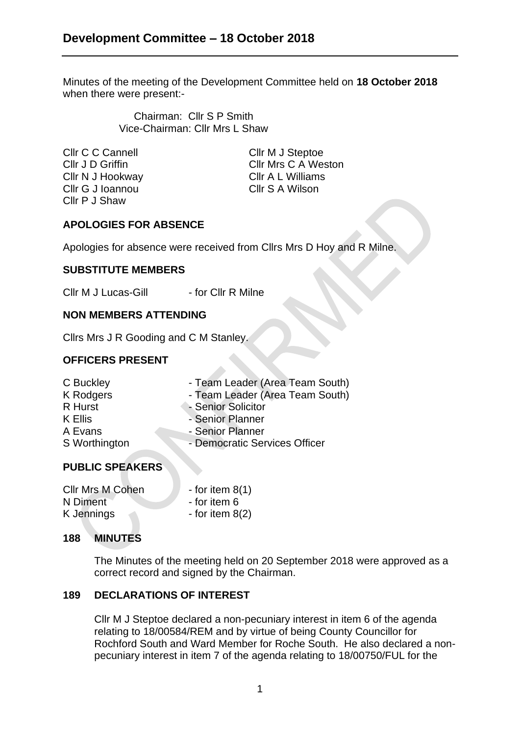Minutes of the meeting of the Development Committee held on **18 October 2018** when there were present:-

> Chairman: Cllr S P Smith Vice-Chairman: Cllr Mrs L Shaw

Cllr C C Cannell Cllr M J Steptoe Cllr N J Hookway Cllr A L Williams Cllr G J Ioannou Cllr S A Wilson Cllr P J Shaw

Cllr J D Griffin Cllr Mrs C A Weston

# **APOLOGIES FOR ABSENCE**

Apologies for absence were received from Cllrs Mrs D Hoy and R Milne.

## **SUBSTITUTE MEMBERS**

Cllr M J Lucas-Gill - for Cllr R Milne

#### **NON MEMBERS ATTENDING**

Cllrs Mrs J R Gooding and C M Stanley.

### **OFFICERS PRESENT**

| C Buckley        | - Team Leader (Area Team South) |
|------------------|---------------------------------|
| <b>K</b> Rodgers | - Team Leader (Area Team South) |
| R Hurst          | - Senior Solicitor              |
| K Ellis          | - Senior Planner                |
| A Evans          | - Senior Planner                |
| S Worthington    | - Democratic Services Officer   |
|                  |                                 |

## **PUBLIC SPEAKERS**

| <b>Cllr Mrs M Cohen</b> | - for item $8(1)$ |
|-------------------------|-------------------|
| N Diment                | - for item 6      |
| K Jennings              | - for item $8(2)$ |

### **188 MINUTES**

The Minutes of the meeting held on 20 September 2018 were approved as a correct record and signed by the Chairman.

### **189 DECLARATIONS OF INTEREST**

Cllr M J Steptoe declared a non-pecuniary interest in item 6 of the agenda relating to 18/00584/REM and by virtue of being County Councillor for Rochford South and Ward Member for Roche South. He also declared a nonpecuniary interest in item 7 of the agenda relating to 18/00750/FUL for the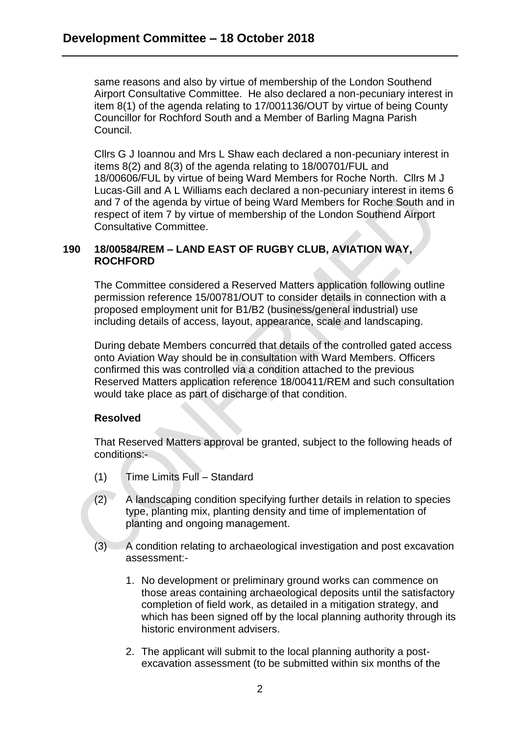same reasons and also by virtue of membership of the London Southend Airport Consultative Committee. He also declared a non-pecuniary interest in item 8(1) of the agenda relating to 17/001136/OUT by virtue of being County Councillor for Rochford South and a Member of Barling Magna Parish Council.

Cllrs G J Ioannou and Mrs L Shaw each declared a non-pecuniary interest in items 8(2) and 8(3) of the agenda relating to 18/00701/FUL and 18/00606/FUL by virtue of being Ward Members for Roche North. Cllrs M J Lucas-Gill and A L Williams each declared a non-pecuniary interest in items 6 and 7 of the agenda by virtue of being Ward Members for Roche South and in respect of item 7 by virtue of membership of the London Southend Airport Consultative Committee.

### **190 18/00584/REM – LAND EAST OF RUGBY CLUB, AVIATION WAY, ROCHFORD**

The Committee considered a Reserved Matters application following outline permission reference 15/00781/OUT to consider details in connection with a proposed employment unit for B1/B2 (business/general industrial) use including details of access, layout, appearance, scale and landscaping.

During debate Members concurred that details of the controlled gated access onto Aviation Way should be in consultation with Ward Members. Officers confirmed this was controlled via a condition attached to the previous Reserved Matters application reference 18/00411/REM and such consultation would take place as part of discharge of that condition.

## **Resolved**

That Reserved Matters approval be granted, subject to the following heads of conditions:-

- (1) Time Limits Full Standard
- (2) A landscaping condition specifying further details in relation to species type, planting mix, planting density and time of implementation of planting and ongoing management.
- (3) A condition relating to archaeological investigation and post excavation assessment:-
	- 1. No development or preliminary ground works can commence on those areas containing archaeological deposits until the satisfactory completion of field work, as detailed in a mitigation strategy, and which has been signed off by the local planning authority through its historic environment advisers.
	- 2. The applicant will submit to the local planning authority a postexcavation assessment (to be submitted within six months of the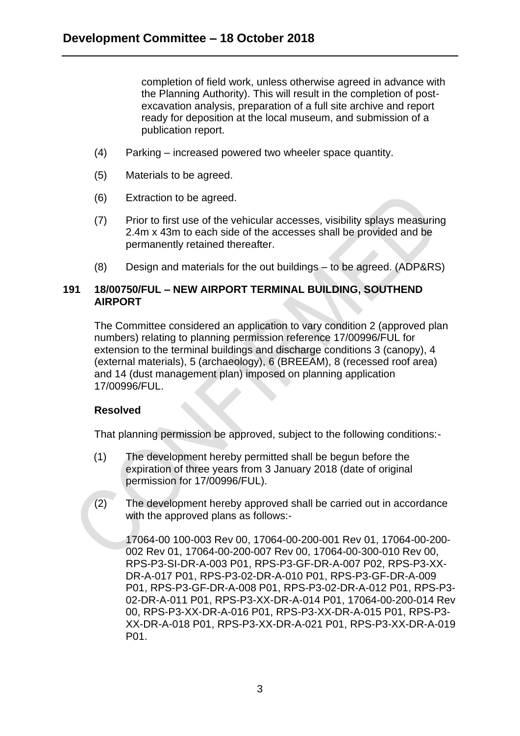completion of field work, unless otherwise agreed in advance with the Planning Authority). This will result in the completion of postexcavation analysis, preparation of a full site archive and report ready for deposition at the local museum, and submission of a publication report.

- (4) Parking increased powered two wheeler space quantity.
- (5) Materials to be agreed.
- (6) Extraction to be agreed.
- (7) Prior to first use of the vehicular accesses, visibility splays measuring 2.4m x 43m to each side of the accesses shall be provided and be permanently retained thereafter.
- (8) Design and materials for the out buildings to be agreed. (ADP&RS)

## **191 18/00750/FUL – NEW AIRPORT TERMINAL BUILDING, SOUTHEND AIRPORT**

The Committee considered an application to vary condition 2 (approved plan numbers) relating to planning permission reference 17/00996/FUL for extension to the terminal buildings and discharge conditions 3 (canopy), 4 (external materials), 5 (archaeology), 6 (BREEAM), 8 (recessed roof area) and 14 (dust management plan) imposed on planning application 17/00996/FUL.

### **Resolved**

That planning permission be approved, subject to the following conditions:-

- (1) The development hereby permitted shall be begun before the expiration of three years from 3 January 2018 (date of original permission for 17/00996/FUL).
- (2) The development hereby approved shall be carried out in accordance with the approved plans as follows:-

17064-00 100-003 Rev 00, 17064-00-200-001 Rev 01, 17064-00-200- 002 Rev 01, 17064-00-200-007 Rev 00, 17064-00-300-010 Rev 00, RPS-P3-SI-DR-A-003 P01, RPS-P3-GF-DR-A-007 P02, RPS-P3-XX-DR-A-017 P01, RPS-P3-02-DR-A-010 P01, RPS-P3-GF-DR-A-009 P01, RPS-P3-GF-DR-A-008 P01, RPS-P3-02-DR-A-012 P01, RPS-P3- 02-DR-A-011 P01, RPS-P3-XX-DR-A-014 P01, 17064-00-200-014 Rev 00, RPS-P3-XX-DR-A-016 P01, RPS-P3-XX-DR-A-015 P01, RPS-P3- XX-DR-A-018 P01, RPS-P3-XX-DR-A-021 P01, RPS-P3-XX-DR-A-019 P01.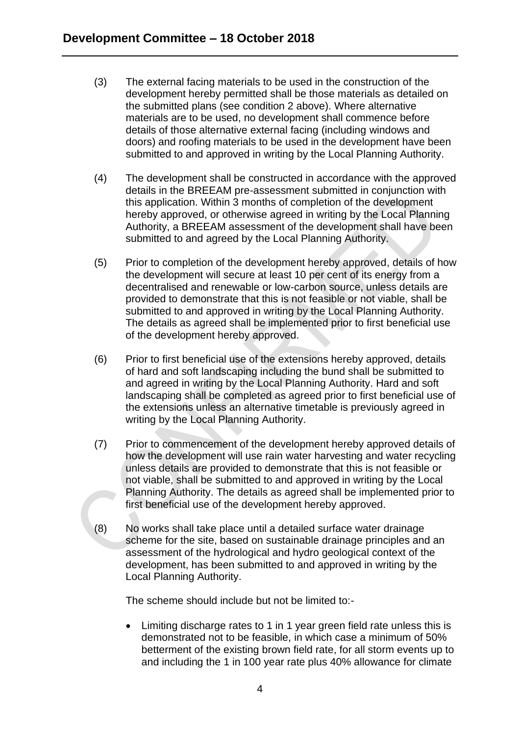- (3) The external facing materials to be used in the construction of the development hereby permitted shall be those materials as detailed on the submitted plans (see condition 2 above). Where alternative materials are to be used, no development shall commence before details of those alternative external facing (including windows and doors) and roofing materials to be used in the development have been submitted to and approved in writing by the Local Planning Authority.
- (4) The development shall be constructed in accordance with the approved details in the BREEAM pre-assessment submitted in conjunction with this application. Within 3 months of completion of the development hereby approved, or otherwise agreed in writing by the Local Planning Authority, a BREEAM assessment of the development shall have been submitted to and agreed by the Local Planning Authority.
- (5) Prior to completion of the development hereby approved, details of how the development will secure at least 10 per cent of its energy from a decentralised and renewable or low-carbon source, unless details are provided to demonstrate that this is not feasible or not viable, shall be submitted to and approved in writing by the Local Planning Authority. The details as agreed shall be implemented prior to first beneficial use of the development hereby approved.
- (6) Prior to first beneficial use of the extensions hereby approved, details of hard and soft landscaping including the bund shall be submitted to and agreed in writing by the Local Planning Authority. Hard and soft landscaping shall be completed as agreed prior to first beneficial use of the extensions unless an alternative timetable is previously agreed in writing by the Local Planning Authority.
- (7) Prior to commencement of the development hereby approved details of how the development will use rain water harvesting and water recycling unless details are provided to demonstrate that this is not feasible or not viable, shall be submitted to and approved in writing by the Local Planning Authority. The details as agreed shall be implemented prior to first beneficial use of the development hereby approved.
- (8) No works shall take place until a detailed surface water drainage scheme for the site, based on sustainable drainage principles and an assessment of the hydrological and hydro geological context of the development, has been submitted to and approved in writing by the Local Planning Authority.

The scheme should include but not be limited to:-

• Limiting discharge rates to 1 in 1 year green field rate unless this is demonstrated not to be feasible, in which case a minimum of 50% betterment of the existing brown field rate, for all storm events up to and including the 1 in 100 year rate plus 40% allowance for climate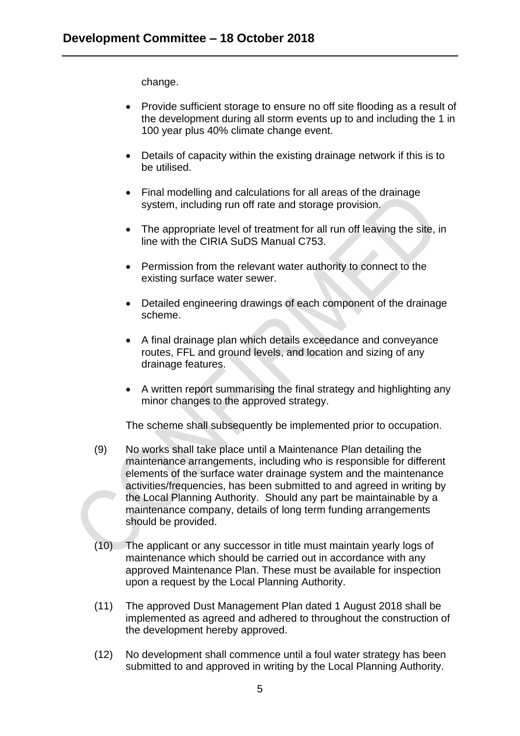change.

- Provide sufficient storage to ensure no off site flooding as a result of the development during all storm events up to and including the 1 in 100 year plus 40% climate change event.
- Details of capacity within the existing drainage network if this is to be utilised.
- Final modelling and calculations for all areas of the drainage system, including run off rate and storage provision.
- The appropriate level of treatment for all run off leaving the site, in line with the CIRIA SuDS Manual C753.
- Permission from the relevant water authority to connect to the existing surface water sewer.
- Detailed engineering drawings of each component of the drainage scheme.
- A final drainage plan which details exceedance and conveyance routes, FFL and ground levels, and location and sizing of any drainage features.
- A written report summarising the final strategy and highlighting any minor changes to the approved strategy.

The scheme shall subsequently be implemented prior to occupation.

- (9) No works shall take place until a Maintenance Plan detailing the maintenance arrangements, including who is responsible for different elements of the surface water drainage system and the maintenance activities/frequencies, has been submitted to and agreed in writing by the Local Planning Authority. Should any part be maintainable by a maintenance company, details of long term funding arrangements should be provided.
- (10) The applicant or any successor in title must maintain yearly logs of maintenance which should be carried out in accordance with any approved Maintenance Plan. These must be available for inspection upon a request by the Local Planning Authority.
- (11) The approved Dust Management Plan dated 1 August 2018 shall be implemented as agreed and adhered to throughout the construction of the development hereby approved.
- (12) No development shall commence until a foul water strategy has been submitted to and approved in writing by the Local Planning Authority.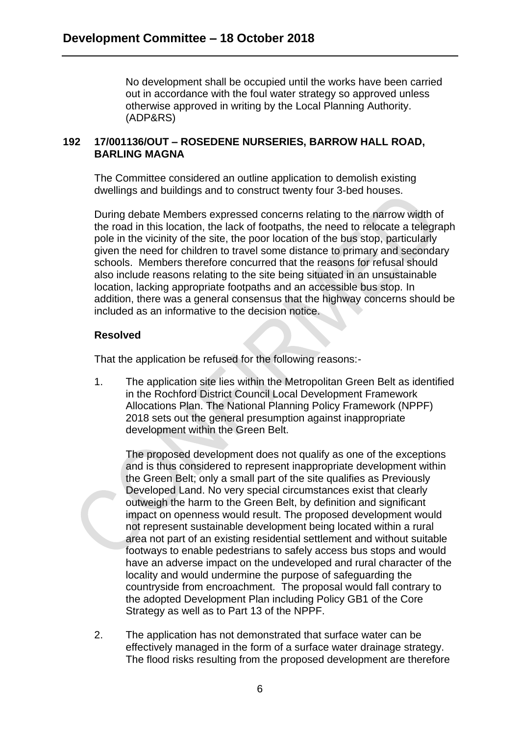No development shall be occupied until the works have been carried out in accordance with the foul water strategy so approved unless otherwise approved in writing by the Local Planning Authority. (ADP&RS)

## **192 17/001136/OUT – ROSEDENE NURSERIES, BARROW HALL ROAD, BARLING MAGNA**

The Committee considered an outline application to demolish existing dwellings and buildings and to construct twenty four 3-bed houses.

During debate Members expressed concerns relating to the narrow width of the road in this location, the lack of footpaths, the need to relocate a telegraph pole in the vicinity of the site, the poor location of the bus stop, particularly given the need for children to travel some distance to primary and secondary schools. Members therefore concurred that the reasons for refusal should also include reasons relating to the site being situated in an unsustainable location, lacking appropriate footpaths and an accessible bus stop. In addition, there was a general consensus that the highway concerns should be included as an informative to the decision notice.

### **Resolved**

That the application be refused for the following reasons:-

1. The application site lies within the Metropolitan Green Belt as identified in the Rochford District Council Local Development Framework Allocations Plan. The National Planning Policy Framework (NPPF) 2018 sets out the general presumption against inappropriate development within the Green Belt.

The proposed development does not qualify as one of the exceptions and is thus considered to represent inappropriate development within the Green Belt; only a small part of the site qualifies as Previously Developed Land. No very special circumstances exist that clearly outweigh the harm to the Green Belt, by definition and significant impact on openness would result. The proposed development would not represent sustainable development being located within a rural area not part of an existing residential settlement and without suitable footways to enable pedestrians to safely access bus stops and would have an adverse impact on the undeveloped and rural character of the locality and would undermine the purpose of safeguarding the countryside from encroachment. The proposal would fall contrary to the adopted Development Plan including Policy GB1 of the Core Strategy as well as to Part 13 of the NPPF.

2. The application has not demonstrated that surface water can be effectively managed in the form of a surface water drainage strategy. The flood risks resulting from the proposed development are therefore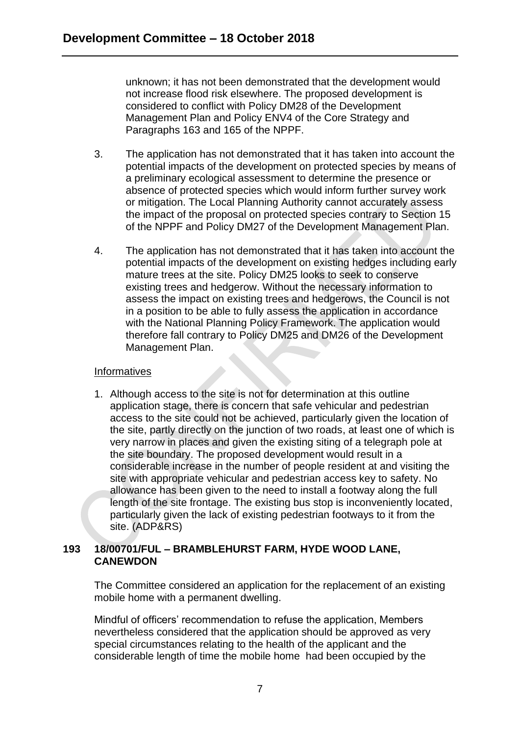unknown; it has not been demonstrated that the development would not increase flood risk elsewhere. The proposed development is considered to conflict with Policy DM28 of the Development Management Plan and Policy ENV4 of the Core Strategy and Paragraphs 163 and 165 of the NPPF.

- 3. The application has not demonstrated that it has taken into account the potential impacts of the development on protected species by means of a preliminary ecological assessment to determine the presence or absence of protected species which would inform further survey work or mitigation. The Local Planning Authority cannot accurately assess the impact of the proposal on protected species contrary to Section 15 of the NPPF and Policy DM27 of the Development Management Plan.
- 4. The application has not demonstrated that it has taken into account the potential impacts of the development on existing hedges including early mature trees at the site. Policy DM25 looks to seek to conserve existing trees and hedgerow. Without the necessary information to assess the impact on existing trees and hedgerows, the Council is not in a position to be able to fully assess the application in accordance with the National Planning Policy Framework. The application would therefore fall contrary to Policy DM25 and DM26 of the Development Management Plan.

### Informatives

1. Although access to the site is not for determination at this outline application stage, there is concern that safe vehicular and pedestrian access to the site could not be achieved, particularly given the location of the site, partly directly on the junction of two roads, at least one of which is very narrow in places and given the existing siting of a telegraph pole at the site boundary. The proposed development would result in a considerable increase in the number of people resident at and visiting the site with appropriate vehicular and pedestrian access key to safety. No allowance has been given to the need to install a footway along the full length of the site frontage. The existing bus stop is inconveniently located, particularly given the lack of existing pedestrian footways to it from the site. (ADP&RS)

## **193 18/00701/FUL – BRAMBLEHURST FARM, HYDE WOOD LANE, CANEWDON**

The Committee considered an application for the replacement of an existing mobile home with a permanent dwelling.

Mindful of officers' recommendation to refuse the application, Members nevertheless considered that the application should be approved as very special circumstances relating to the health of the applicant and the considerable length of time the mobile home had been occupied by the